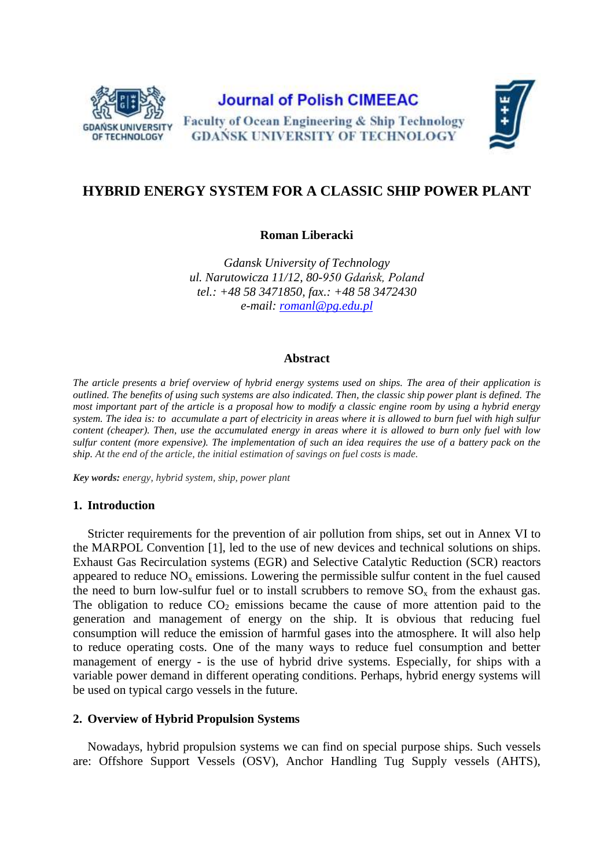

# **Journal of Polish CIMEEAC**





# **HYBRID ENERGY SYSTEM FOR A CLASSIC SHIP POWER PLANT**

**Roman Liberacki**

*Gdansk University of Technology ul. Narutowicza 11/12, 80-950 Gdańsk, Poland tel.: +48 58 3471850, fax.: +48 58 3472430 e-mail: [romanl@pg.edu.pl](mailto:romanl@pg.edu.pl)*

### **Abstract**

*The article presents a brief overview of hybrid energy systems used on ships. The area of their application is outlined. The benefits of using such systems are also indicated. Then, the classic ship power plant is defined. The most important part of the article is a proposal how to modify a classic engine room by using a hybrid energy system. The idea is: to accumulate a part of electricity in areas where it is allowed to burn fuel with high sulfur content (cheaper). Then, use the accumulated energy in areas where it is allowed to burn only fuel with low sulfur content (more expensive). The implementation of such an idea requires the use of a battery pack on the ship. At the end of the article, the initial estimation of savings on fuel costs is made.*

*Key words: energy, hybrid system, ship, power plant*

## **1. Introduction**

Stricter requirements for the prevention of air pollution from ships, set out in Annex VI to the MARPOL Convention [1], led to the use of new devices and technical solutions on ships. Exhaust Gas Recirculation systems (EGR) and Selective Catalytic Reduction (SCR) reactors appeared to reduce  $NO<sub>x</sub>$  emissions. Lowering the permissible sulfur content in the fuel caused the need to burn low-sulfur fuel or to install scrubbers to remove  $SO_x$  from the exhaust gas. The obligation to reduce  $CO<sub>2</sub>$  emissions became the cause of more attention paid to the generation and management of energy on the ship. It is obvious that reducing fuel consumption will reduce the emission of harmful gases into the atmosphere. It will also help to reduce operating costs. One of the many ways to reduce fuel consumption and better management of energy - is the use of hybrid drive systems. Especially, for ships with a variable power demand in different operating conditions. Perhaps, hybrid energy systems will be used on typical cargo vessels in the future.

#### **2. Overview of Hybrid Propulsion Systems**

Nowadays, hybrid propulsion systems we can find on special purpose ships. Such vessels are: Offshore Support Vessels (OSV), Anchor Handling Tug Supply vessels (AHTS),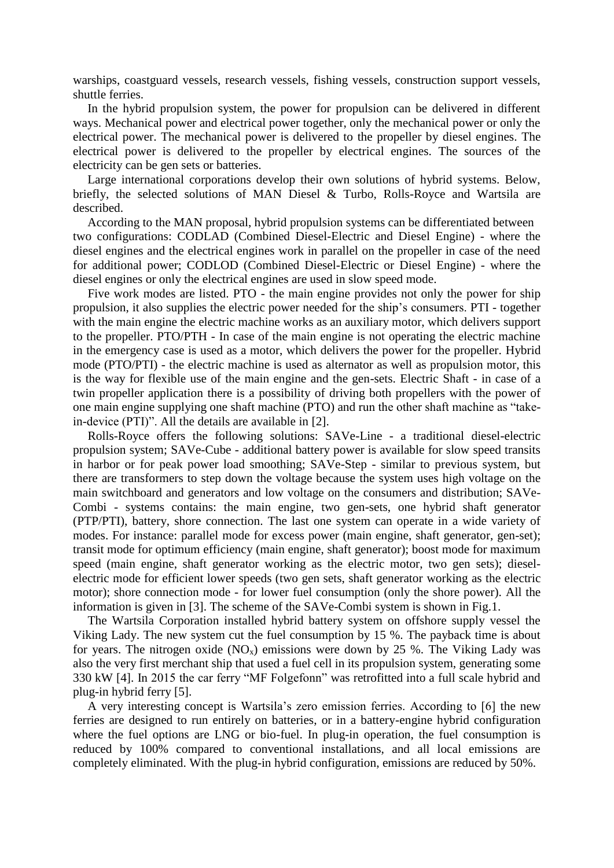warships, coastguard vessels, research vessels, fishing vessels, construction support vessels, shuttle ferries.

In the hybrid propulsion system, the power for propulsion can be delivered in different ways. Mechanical power and electrical power together, only the mechanical power or only the electrical power. The mechanical power is delivered to the propeller by diesel engines. The electrical power is delivered to the propeller by electrical engines. The sources of the electricity can be gen sets or batteries.

Large international corporations develop their own solutions of hybrid systems. Below, briefly, the selected solutions of MAN Diesel & Turbo, Rolls-Royce and Wartsila are described.

According to the MAN proposal, hybrid propulsion systems can be differentiated between two configurations: CODLAD (Combined Diesel-Electric and Diesel Engine) - where the diesel engines and the electrical engines work in parallel on the propeller in case of the need for additional power; CODLOD (Combined Diesel-Electric or Diesel Engine) - where the diesel engines or only the electrical engines are used in slow speed mode.

Five work modes are listed. PTO - the main engine provides not only the power for ship propulsion, it also supplies the electric power needed for the ship's consumers. PTI - together with the main engine the electric machine works as an auxiliary motor, which delivers support to the propeller. PTO/PTH - In case of the main engine is not operating the electric machine in the emergency case is used as a motor, which delivers the power for the propeller. Hybrid mode (PTO/PTI) - the electric machine is used as alternator as well as propulsion motor, this is the way for flexible use of the main engine and the gen-sets. Electric Shaft - in case of a twin propeller application there is a possibility of driving both propellers with the power of one main engine supplying one shaft machine (PTO) and run the other shaft machine as "takein-device (PTI)". All the details are available in [2].

Rolls-Royce offers the following solutions: SAVe-Line - a traditional diesel-electric propulsion system; SAVe-Cube - additional battery power is available for slow speed transits in harbor or for peak power load smoothing; SAVe-Step - similar to previous system, but there are transformers to step down the voltage because the system uses high voltage on the main switchboard and generators and low voltage on the consumers and distribution; SAVe-Combi - systems contains: the main engine, two gen-sets, one hybrid shaft generator (PTP/PTI), battery, shore connection. The last one system can operate in a wide variety of modes. For instance: parallel mode for excess power (main engine, shaft generator, gen-set); transit mode for optimum efficiency (main engine, shaft generator); boost mode for maximum speed (main engine, shaft generator working as the electric motor, two gen sets); dieselelectric mode for efficient lower speeds (two gen sets, shaft generator working as the electric motor); shore connection mode - for lower fuel consumption (only the shore power). All the information is given in [3]. The scheme of the SAVe-Combi system is shown in Fig.1.

The Wartsila Corporation installed hybrid battery system on offshore supply vessel the Viking Lady. The new system cut the fuel consumption by 15 %. The payback time is about for years. The nitrogen oxide  $(NO_x)$  emissions were down by 25 %. The Viking Lady was also the very first merchant ship that used a fuel cell in its propulsion system, generating some 330 kW [4]. In 2015 the car ferry "MF Folgefonn" was retrofitted into a full scale hybrid and plug-in hybrid ferry [5].

A very interesting concept is Wartsila's zero emission ferries. According to [6] the new ferries are designed to run entirely on batteries, or in a battery-engine hybrid configuration where the fuel options are LNG or bio-fuel. In plug-in operation, the fuel consumption is reduced by 100% compared to conventional installations, and all local emissions are completely eliminated. With the plug-in hybrid configuration, emissions are reduced by 50%.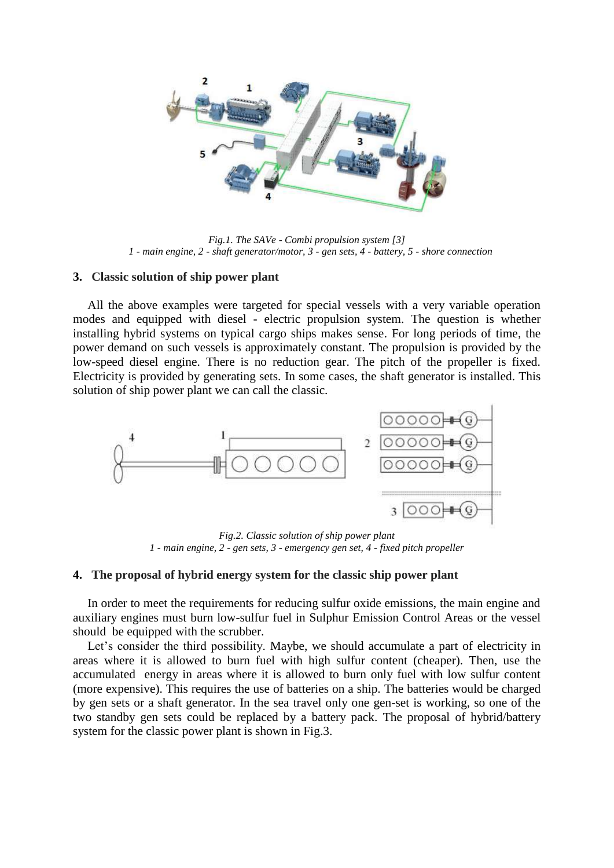

*Fig.1. The SAVe - Combi propulsion system [3] 1 - main engine, 2 - shaft generator/motor, 3 - gen sets, 4 - battery, 5 - shore connection*

#### **3. Classic solution of ship power plant**

All the above examples were targeted for special vessels with a very variable operation modes and equipped with diesel - electric propulsion system. The question is whether installing hybrid systems on typical cargo ships makes sense. For long periods of time, the power demand on such vessels is approximately constant. The propulsion is provided by the low-speed diesel engine. There is no reduction gear. The pitch of the propeller is fixed. Electricity is provided by generating sets. In some cases, the shaft generator is installed. This solution of ship power plant we can call the classic.



*Fig.2. Classic solution of ship power plant 1 - main engine, 2 - gen sets, 3 - emergency gen set, 4 - fixed pitch propeller*

#### **4. The proposal of hybrid energy system for the classic ship power plant**

In order to meet the requirements for reducing sulfur oxide emissions, the main engine and auxiliary engines must burn low-sulfur fuel in Sulphur Emission Control Areas or the vessel should be equipped with the scrubber.

Let's consider the third possibility. Maybe, we should accumulate a part of electricity in areas where it is allowed to burn fuel with high sulfur content (cheaper). Then, use the accumulated energy in areas where it is allowed to burn only fuel with low sulfur content (more expensive). This requires the use of batteries on a ship. The batteries would be charged by gen sets or a shaft generator. In the sea travel only one gen-set is working, so one of the two standby gen sets could be replaced by a battery pack. The proposal of hybrid/battery system for the classic power plant is shown in Fig.3.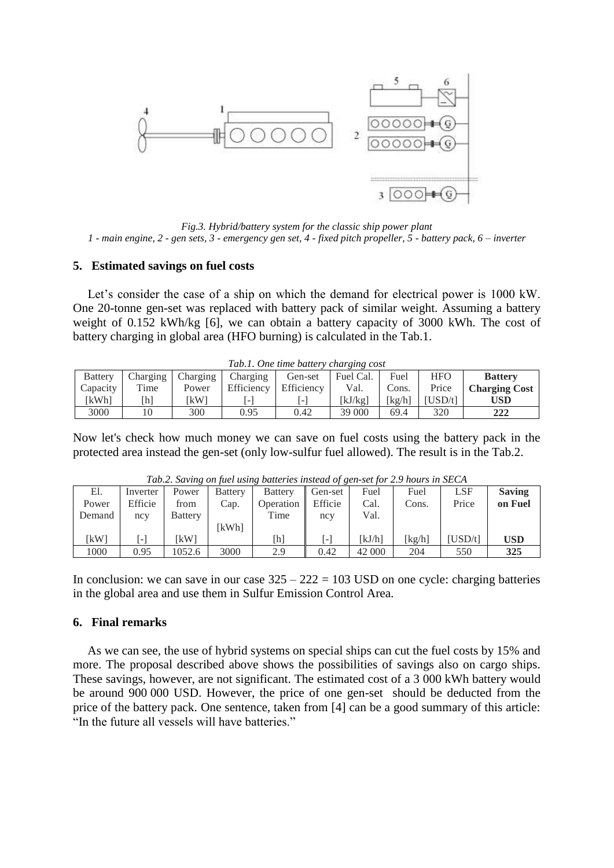

*Fig.3. Hybrid/battery system for the classic ship power plant 1 - main engine, 2 - gen sets, 3 - emergency gen set, 4 - fixed pitch propeller, 5 - battery pack, 6 – inverter*

#### **5. Estimated savings on fuel costs**

Let's consider the case of a ship on which the demand for electrical power is 1000 kW. One 20-tonne gen-set was replaced with battery pack of similar weight. Assuming a battery weight of 0.152 kWh/kg [6], we can obtain a battery capacity of 3000 kWh. The cost of battery charging in global area (HFO burning) is calculated in the Tab.1.

| Tab.1. One time battery charging cost |          |          |            |            |           |        |            |                      |  |  |  |  |
|---------------------------------------|----------|----------|------------|------------|-----------|--------|------------|----------------------|--|--|--|--|
| <b>Battery</b>                        | Charging | Charging | Charging   | Gen-set    | Fuel Cal. | Fuel   | <b>HFO</b> | <b>Battery</b>       |  |  |  |  |
| Capacity                              | Time     | Power    | Efficiency | Efficiency | Val.      | Cons.  | Price      | <b>Charging Cost</b> |  |  |  |  |
| <b>[kWh]</b>                          | [h]      | [kW]     | ا _ ز      |            | [kJ/kg]   | [kg/h] | USD/tl     | <b>USD</b>           |  |  |  |  |
| 3000                                  | 10       | 300      | 0.95       | 0.42       | 39 000    | 69.4   | 320        | 222                  |  |  |  |  |

Now let's check how much money we can save on fuel costs using the battery pack in the protected area instead the gen-set (only low-sulfur fuel allowed). The result is in the Tab.2.

|        | Tub.2. Buring on fact asing bunches msicula of gen set for 2.9 notes in SECT |                |                |                |         |        |        |            |               |  |  |  |
|--------|------------------------------------------------------------------------------|----------------|----------------|----------------|---------|--------|--------|------------|---------------|--|--|--|
| El.    | Inverter                                                                     | Power          | <b>Battery</b> | <b>Battery</b> | Gen-set | Fuel   | Fuel   | <b>LSF</b> | <b>Saving</b> |  |  |  |
| Power  | Efficie                                                                      | from           | Cap.           | Operation      | Efficie | Cal.   | Cons.  | Price      | on Fuel       |  |  |  |
| Demand | ncy                                                                          | <b>Battery</b> |                | Time           | ncy     | Val.   |        |            |               |  |  |  |
|        |                                                                              |                | kWhl           |                |         |        |        |            |               |  |  |  |
| [kW]   | $\sim$                                                                       | [kW]           |                | [h]            | [-]     | [kJ/h] | [kg/h] | USD/t      | <b>USD</b>    |  |  |  |
| 1000   | 0.95                                                                         | 1052.6         | 3000           | 2.9            | 0.42    | 42 000 | 204    | 550        | 325           |  |  |  |

*Tab.2. Saving on fuel using batteries instead of gen-set for 2.9 hours in SECA*

In conclusion: we can save in our case  $325 - 222 = 103$  USD on one cycle: charging batteries in the global area and use them in Sulfur Emission Control Area.

#### **6. Final remarks**

As we can see, the use of hybrid systems on special ships can cut the fuel costs by 15% and more. The proposal described above shows the possibilities of savings also on cargo ships. These savings, however, are not significant. The estimated cost of a 3 000 kWh battery would be around 900 000 USD. However, the price of one gen-set should be deducted from the price of the battery pack. One sentence, taken from [4] can be a good summary of this article: "In the future all vessels will have batteries."